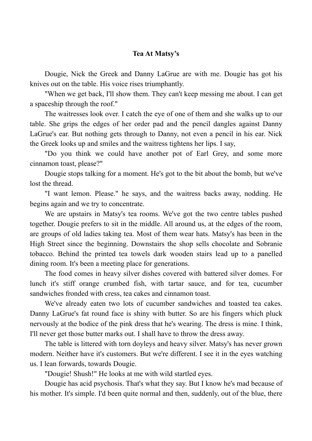## **Tea At Matsy's**

 Dougie, Nick the Greek and Danny LaGrue are with me. Dougie has got his knives out on the table. His voice rises triumphantly.

 "When we get back, I'll show them. They can't keep messing me about. I can get a spaceship through the roof."

 The waitresses look over. I catch the eye of one of them and she walks up to our table. She grips the edges of her order pad and the pencil dangles against Danny LaGrue's ear. But nothing gets through to Danny, not even a pencil in his ear. Nick the Greek looks up and smiles and the waitress tightens her lips. I say,

 "Do you think we could have another pot of Earl Grey, and some more cinnamon toast, please?"

 Dougie stops talking for a moment. He's got to the bit about the bomb, but we've lost the thread.

 "I want lemon. Please." he says, and the waitress backs away, nodding. He begins again and we try to concentrate.

 We are upstairs in Matsy's tea rooms. We've got the two centre tables pushed together. Dougie prefers to sit in the middle. All around us, at the edges of the room, are groups of old ladies taking tea. Most of them wear hats. Matsy's has been in the High Street since the beginning. Downstairs the shop sells chocolate and Sobranie tobacco. Behind the printed tea towels dark wooden stairs lead up to a panelled dining room. It's been a meeting place for generations.

 The food comes in heavy silver dishes covered with battered silver domes. For lunch it's stiff orange crumbed fish, with tartar sauce, and for tea, cucumber sandwiches fronded with cress, tea cakes and cinnamon toast.

 We've already eaten two lots of cucumber sandwiches and toasted tea cakes. Danny LaGrue's fat round face is shiny with butter. So are his fingers which pluck nervously at the bodice of the pink dress that he's wearing. The dress is mine. I think, I'll never get those butter marks out. I shall have to throw the dress away.

 The table is littered with torn doyleys and heavy silver. Matsy's has never grown modern. Neither have it's customers. But we're different. I see it in the eyes watching us. I lean forwards, towards Dougie.

"Dougie! Shush!" He looks at me with wild startled eyes.

 Dougie has acid psychosis. That's what they say. But I know he's mad because of his mother. It's simple. I'd been quite normal and then, suddenly, out of the blue, there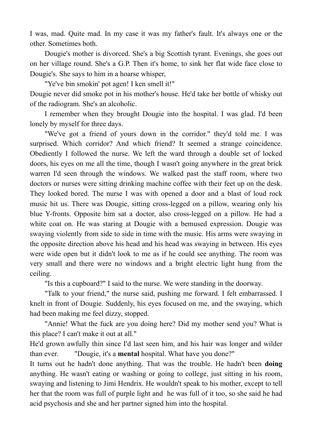I was, mad. Quite mad. In my case it was my father's fault. It's always one or the other. Sometimes both.

 Dougie's mother is divorced. She's a big Scottish tyrant. Evenings, she goes out on her village round. She's a G.P. Then it's home, to sink her flat wide face close to Dougie's. She says to him in a hoarse whisper,

 "Ye've bin smokin' pot agen! I ken smell it!" Dougie never did smoke pot in his mother's house. He'd take her bottle of whisky out of the radiogram. She's an alcoholic.

 I remember when they brought Dougie into the hospital. I was glad. I'd been lonely by myself for three days.

 "We've got a friend of yours down in the corridor." they'd told me. I was surprised. Which corridor? And which friend? It seemed a strange coincidence. Obediently I followed the nurse. We left the ward through a double set of locked doors, his eyes on me all the time, though I wasn't going anywhere in the great brick warren I'd seen through the windows. We walked past the staff room, where two doctors or nurses were sitting drinking machine coffee with their feet up on the desk. They looked bored. The nurse I was with opened a door and a blast of loud rock music hit us. There was Dougie, sitting cross-legged on a pillow, wearing only his blue Y-fronts. Opposite him sat a doctor, also cross-legged on a pillow. He had a white coat on. He was staring at Dougie with a bemused expression. Dougie was swaying violently from side to side in time with the music. His arms were swaying in the opposite direction above his head and his head was swaying in between. His eyes were wide open but it didn't look to me as if he could see anything. The room was very small and there were no windows and a bright electric light hung from the ceiling.

"Is this a cupboard?" I said to the nurse. We were standing in the doorway.

 "Talk to your friend," the nurse said, pushing me forward. I felt embarrassed. I knelt in front of Dougie. Suddenly, his eyes focused on me, and the swaying, which had been making me feel dizzy, stopped.

 "Annie! What the fuck are you doing here? Did my mother send you? What is this place? I can't make it out at all."

He'd grown awfully thin since I'd last seen him, and his hair was longer and wilder than ever. "Dougie, it's a **mental** hospital. What have you done?"

It turns out he hadn't done anything. That was the trouble. He hadn't been **doing** anything. He wasn't eating or washing or going to college, just sitting in his room, swaying and listening to Jimi Hendrix. He wouldn't speak to his mother, except to tell her that the room was full of purple light and he was full of it too, so she said he had acid psychosis and she and her partner signed him into the hospital.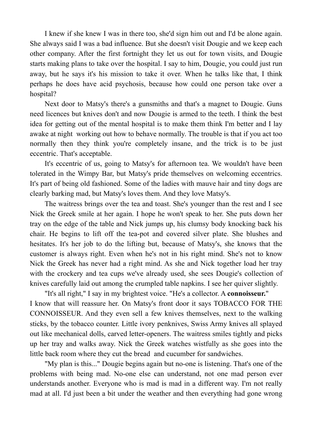I knew if she knew I was in there too, she'd sign him out and I'd be alone again. She always said I was a bad influence. But she doesn't visit Dougie and we keep each other company. After the first fortnight they let us out for town visits, and Dougie starts making plans to take over the hospital. I say to him, Dougie, you could just run away, but he says it's his mission to take it over. When he talks like that, I think perhaps he does have acid psychosis, because how could one person take over a hospital?

 Next door to Matsy's there's a gunsmiths and that's a magnet to Dougie. Guns need licences but knives don't and now Dougie is armed to the teeth. I think the best idea for getting out of the mental hospital is to make them think I'm better and I lay awake at night working out how to behave normally. The trouble is that if you act too normally then they think you're completely insane, and the trick is to be just eccentric. That's acceptable.

 It's eccentric of us, going to Matsy's for afternoon tea. We wouldn't have been tolerated in the Wimpy Bar, but Matsy's pride themselves on welcoming eccentrics. It's part of being old fashioned. Some of the ladies with mauve hair and tiny dogs are clearly barking mad, but Matsy's loves them. And they love Matsy's.

 The waitress brings over the tea and toast. She's younger than the rest and I see Nick the Greek smile at her again. I hope he won't speak to her. She puts down her tray on the edge of the table and Nick jumps up, his clumsy body knocking back his chair. He begins to lift off the tea-pot and covered silver plate. She blushes and hesitates. It's her job to do the lifting but, because of Matsy's, she knows that the customer is always right. Even when he's not in his right mind. She's not to know Nick the Greek has never had a right mind. As she and Nick together load her tray with the crockery and tea cups we've already used, she sees Dougie's collection of knives carefully laid out among the crumpled table napkins. I see her quiver slightly.

 "It's all right," I say in my brightest voice. "He's a collector. A **connoisseur.**" I know that will reassure her. On Matsy's front door it says TOBACCO FOR THE CONNOISSEUR. And they even sell a few knives themselves, next to the walking sticks, by the tobacco counter. Little ivory penknives, Swiss Army knives all splayed out like mechanical dolls, carved letter-openers. The waitress smiles tightly and picks up her tray and walks away. Nick the Greek watches wistfully as she goes into the little back room where they cut the bread and cucumber for sandwiches.

 "My plan is this..." Dougie begins again but no-one is listening. That's one of the problems with being mad. No-one else can understand, not one mad person ever understands another. Everyone who is mad is mad in a different way. I'm not really mad at all. I'd just been a bit under the weather and then everything had gone wrong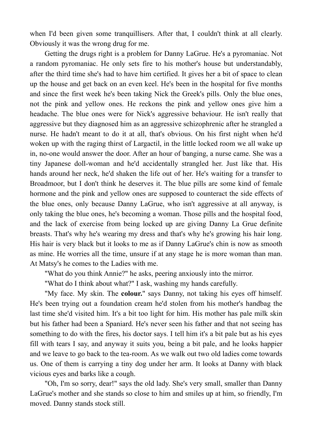when I'd been given some tranquillisers. After that, I couldn't think at all clearly. Obviously it was the wrong drug for me.

 Getting the drugs right is a problem for Danny LaGrue. He's a pyromaniac. Not a random pyromaniac. He only sets fire to his mother's house but understandably, after the third time she's had to have him certified. It gives her a bit of space to clean up the house and get back on an even keel. He's been in the hospital for five months and since the first week he's been taking Nick the Greek's pills. Only the blue ones, not the pink and yellow ones. He reckons the pink and yellow ones give him a headache. The blue ones were for Nick's aggressive behaviour. He isn't really that aggressive but they diagnosed him as an aggressive schizophrenic after he strangled a nurse. He hadn't meant to do it at all, that's obvious. On his first night when he'd woken up with the raging thirst of Largactil, in the little locked room we all wake up in, no-one would answer the door. After an hour of banging, a nurse came. She was a tiny Japanese doll-woman and he'd accidentally strangled her. Just like that. His hands around her neck, he'd shaken the life out of her. He's waiting for a transfer to Broadmoor, but I don't think he deserves it. The blue pills are some kind of female hormone and the pink and yellow ones are supposed to counteract the side effects of the blue ones, only because Danny LaGrue, who isn't aggressive at all anyway, is only taking the blue ones, he's becoming a woman. Those pills and the hospital food, and the lack of exercise from being locked up are giving Danny La Grue definite breasts. That's why he's wearing my dress and that's why he's growing his hair long. His hair is very black but it looks to me as if Danny LaGrue's chin is now as smooth as mine. He worries all the time, unsure if at any stage he is more woman than man. At Matsy's he comes to the Ladies with me.

"What do you think Annie?" he asks, peering anxiously into the mirror.

"What do I think about what?" I ask, washing my hands carefully.

 "My face. My skin. The **colour.**" says Danny, not taking his eyes off himself. He's been trying out a foundation cream he'd stolen from his mother's handbag the last time she'd visited him. It's a bit too light for him. His mother has pale milk skin but his father had been a Spaniard. He's never seen his father and that not seeing has something to do with the fires, his doctor says. I tell him it's a bit pale but as his eyes fill with tears I say, and anyway it suits you, being a bit pale, and he looks happier and we leave to go back to the tea-room. As we walk out two old ladies come towards us. One of them is carrying a tiny dog under her arm. It looks at Danny with black vicious eyes and barks like a cough.

 "Oh, I'm so sorry, dear!" says the old lady. She's very small, smaller than Danny LaGrue's mother and she stands so close to him and smiles up at him, so friendly, I'm moved. Danny stands stock still.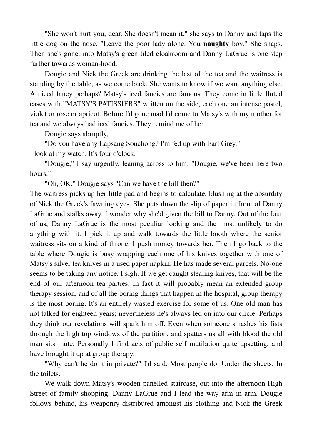"She won't hurt you, dear. She doesn't mean it." she says to Danny and taps the little dog on the nose. "Leave the poor lady alone. You **naughty** boy." She snaps. Then she's gone, into Matsy's green tiled cloakroom and Danny LaGrue is one step further towards woman-hood.

 Dougie and Nick the Greek are drinking the last of the tea and the waitress is standing by the table, as we come back. She wants to know if we want anything else. An iced fancy perhaps? Matsy's iced fancies are famous. They come in little fluted cases with "MATSY'S PATISSIERS" written on the side, each one an intense pastel, violet or rose or apricot. Before I'd gone mad I'd come to Matsy's with my mother for tea and we always had iced fancies. They remind me of her.

Dougie says abruptly,

 "Do you have any Lapsang Souchong? I'm fed up with Earl Grey." I look at my watch. It's four o'clock.

 "Dougie," I say urgently, leaning across to him. "Dougie, we've been here two hours."

"Oh, OK." Dougie says "Can we have the bill then?"

The waitress picks up her little pad and begins to calculate, blushing at the absurdity of Nick the Greek's fawning eyes. She puts down the slip of paper in front of Danny LaGrue and stalks away. I wonder why she'd given the bill to Danny. Out of the four of us, Danny LaGrue is the most peculiar looking and the most unlikely to do anything with it. I pick it up and walk towards the little booth where the senior waitress sits on a kind of throne. I push money towards her. Then I go back to the table where Dougie is busy wrapping each one of his knives together with one of Matsy's silver tea knives in a used paper napkin. He has made several parcels. No-one seems to be taking any notice. I sigh. If we get caught stealing knives, that will be the end of our afternoon tea parties. In fact it will probably mean an extended group therapy session, and of all the boring things that happen in the hospital, group therapy is the most boring. It's an entirely wasted exercise for some of us. One old man has not talked for eighteen years; nevertheless he's always led on into our circle. Perhaps they think our revelations will spark him off. Even when someone smashes his fists through the high top windows of the partition, and spatters us all with blood the old man sits mute. Personally I find acts of public self mutilation quite upsetting, and have brought it up at group therapy.

 "Why can't he do it in private?" I'd said. Most people do. Under the sheets. In the toilets.

 We walk down Matsy's wooden panelled staircase, out into the afternoon High Street of family shopping. Danny LaGrue and I lead the way arm in arm. Dougie follows behind, his weaponry distributed amongst his clothing and Nick the Greek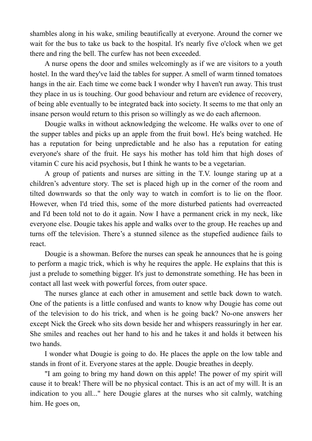shambles along in his wake, smiling beautifically at everyone. Around the corner we wait for the bus to take us back to the hospital. It's nearly five o'clock when we get there and ring the bell. The curfew has not been exceeded.

 A nurse opens the door and smiles welcomingly as if we are visitors to a youth hostel. In the ward they've laid the tables for supper. A smell of warm tinned tomatoes hangs in the air. Each time we come back I wonder why I haven't run away. This trust they place in us is touching. Our good behaviour and return are evidence of recovery, of being able eventually to be integrated back into society. It seems to me that only an insane person would return to this prison so willingly as we do each afternoon.

 Dougie walks in without acknowledging the welcome. He walks over to one of the supper tables and picks up an apple from the fruit bowl. He's being watched. He has a reputation for being unpredictable and he also has a reputation for eating everyone's share of the fruit. He says his mother has told him that high doses of vitamin C cure his acid psychosis, but I think he wants to be a vegetarian.

 A group of patients and nurses are sitting in the T.V. lounge staring up at a children's adventure story. The set is placed high up in the corner of the room and tilted downwards so that the only way to watch in comfort is to lie on the floor. However, when I'd tried this, some of the more disturbed patients had overreacted and I'd been told not to do it again. Now I have a permanent crick in my neck, like everyone else. Dougie takes his apple and walks over to the group. He reaches up and turns off the television. There's a stunned silence as the stupefied audience fails to react.

 Dougie is a showman. Before the nurses can speak he announces that he is going to perform a magic trick, which is why he requires the apple. He explains that this is just a prelude to something bigger. It's just to demonstrate something. He has been in contact all last week with powerful forces, from outer space.

 The nurses glance at each other in amusement and settle back down to watch. One of the patients is a little confused and wants to know why Dougie has come out of the television to do his trick, and when is he going back? No-one answers her except Nick the Greek who sits down beside her and whispers reassuringly in her ear. She smiles and reaches out her hand to his and he takes it and holds it between his two hands.

 I wonder what Dougie is going to do. He places the apple on the low table and stands in front of it. Everyone stares at the apple. Dougie breathes in deeply.

 "I am going to bring my hand down on this apple! The power of my spirit will cause it to break! There will be no physical contact. This is an act of my will. It is an indication to you all..." here Dougie glares at the nurses who sit calmly, watching him. He goes on,